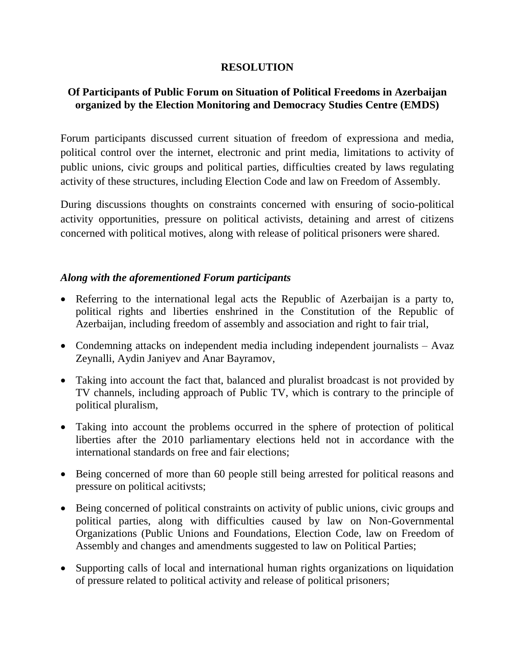## **RESOLUTION**

## **Of Participants of Public Forum on Situation of Political Freedoms in Azerbaijan organized by the Election Monitoring and Democracy Studies Centre (EMDS)**

Forum participants discussed current situation of freedom of expressiona and media, political control over the internet, electronic and print media, limitations to activity of public unions, civic groups and political parties, difficulties created by laws regulating activity of these structures, including Election Code and law on Freedom of Assembly.

During discussions thoughts on constraints concerned with ensuring of socio-political activity opportunities, pressure on political activists, detaining and arrest of citizens concerned with political motives, along with release of political prisoners were shared.

## *Along with the aforementioned Forum participants*

- Referring to the international legal acts the Republic of Azerbaijan is a party to, political rights and liberties enshrined in the Constitution of the Republic of Azerbaijan, including freedom of assembly and association and right to fair trial,
- Condemning attacks on independent media including independent journalists Avaz Zeynalli, Aydin Janiyev and Anar Bayramov,
- Taking into account the fact that, balanced and pluralist broadcast is not provided by TV channels, including approach of Public TV, which is contrary to the principle of political pluralism,
- Taking into account the problems occurred in the sphere of protection of political liberties after the 2010 parliamentary elections held not in accordance with the international standards on free and fair elections;
- Being concerned of more than 60 people still being arrested for political reasons and pressure on political acitivsts;
- Being concerned of political constraints on activity of public unions, civic groups and political parties, along with difficulties caused by law on Non-Governmental Organizations (Public Unions and Foundations, Election Code, law on Freedom of Assembly and changes and amendments suggested to law on Political Parties;
- Supporting calls of local and international human rights organizations on liquidation of pressure related to political activity and release of political prisoners;